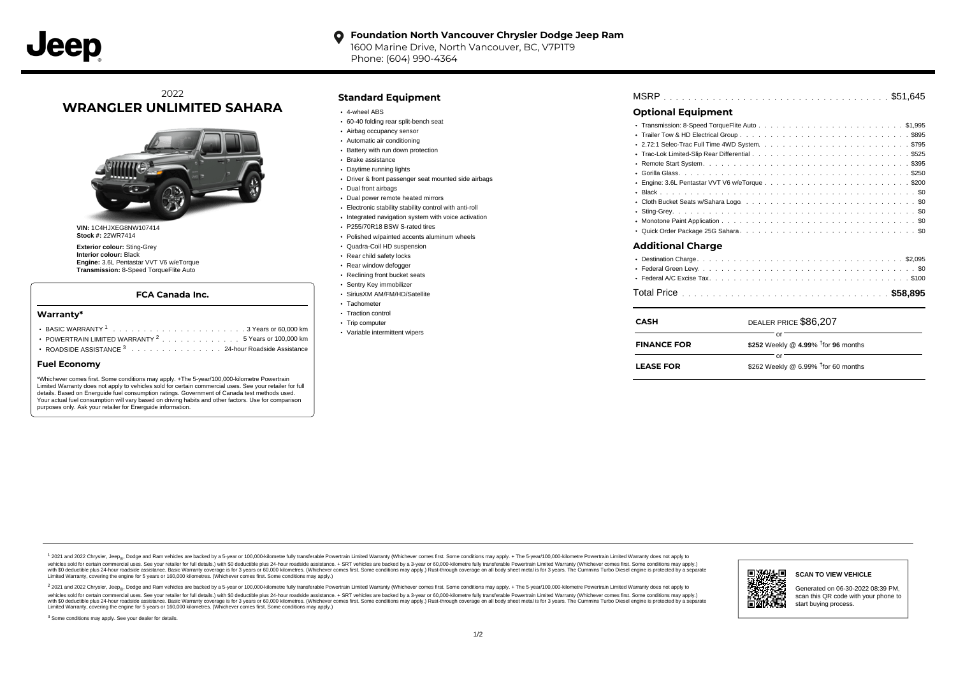#### **Foundation North Vancouver Chrysler Dodge Jeep Ram**  $\bullet$

1600 Marine Drive, North Vancouver, BC, V7P1T9 Phone: (604) 990-4364

## 2022 **WRANGLER UNLIMITED SAHARA**



**VIN:** 1C4HJXEG8NW107414 **Stock #:** 22WR7414

**Exterior colour:** Sting-Grey **Interior colour:** Black **Engine:** 3.6L Pentastar VVT V6 w/eTorque **Transmission:** 8-Speed TorqueFlite Auto

#### **FCA Canada Inc.**

#### **Warranty\***

| POWERTRAIN LIMITED WARRANTY $2, \ldots, \ldots, \ldots, \ldots, 5$ Years or 100,000 km |
|----------------------------------------------------------------------------------------|
| ROADSIDE ASSISTANCE 3 24-hour Roadside Assistance                                      |

#### **Fuel Economy**

\*Whichever comes first. Some conditions may apply. +The 5-year/100,000-kilometre Powertrain Limited Warranty does not apply to vehicles sold for certain commercial uses. See your retailer for full details. Based on Energuide fuel consumption ratings. Government of Canada test methods used. Your actual fuel consumption will vary based on driving habits and other factors. Use for comparison purposes only. Ask your retailer for Energuide information.

#### **Standard Equipment**

- 4-wheel ABS
- 60-40 folding rear split-bench seat
- Airbag occupancy sensor
- Automatic air conditioning
- Battery with run down protection
- Brake assistance
- Daytime running lights
- Driver & front passenger seat mounted side airbags
- Dual front airbags
- Dual power remote heated mirrors
- Electronic stability stability control with anti-roll
- Integrated navigation system with voice activation
- P255/70R18 BSW S-rated tires
- Polished w/painted accents aluminum wheels
- Quadra-Coil HD suspension
- Rear child safety locks
- Rear window defogger Reclining front bucket seats
- Sentry Key immobilizer
- SiriusXM AM/FM/HD/Satellite
- Tachometer
- Traction control
- Trip computer
- Variable intermittent wipers

| <b>MSRP</b> |  |  |  |  |  |  |  |  |  |  |  |  |  |  |  |  |  |  |  |  |  |  |  |  |  |  |  |  |  |  |  |  |  |  |
|-------------|--|--|--|--|--|--|--|--|--|--|--|--|--|--|--|--|--|--|--|--|--|--|--|--|--|--|--|--|--|--|--|--|--|--|
|-------------|--|--|--|--|--|--|--|--|--|--|--|--|--|--|--|--|--|--|--|--|--|--|--|--|--|--|--|--|--|--|--|--|--|--|

## **Optional Equipment**

| <b>FINANCE FOR</b>       | \$252 Weekly @ 4.99% $\dagger$ for 96 months |
|--------------------------|----------------------------------------------|
| <b>CASH</b>              | DEALER PRICE \$86,207<br>or                  |
|                          |                                              |
|                          |                                              |
|                          |                                              |
| <b>Additional Charge</b> |                                              |
|                          |                                              |
|                          |                                              |
|                          |                                              |
|                          |                                              |
|                          |                                              |
|                          |                                              |
|                          |                                              |
|                          |                                              |
|                          |                                              |
|                          |                                              |

| <b>LEASE FOR</b> | \$262 Weekly @ 6.99% $\dagger$ for 60 months |
|------------------|----------------------------------------------|

1 2021 and 2022 Chrysler, Jeep<sub>en</sub> Dodge and Ram vehicles are backed by a 5-year or 100,000-kilometre fully transferable Powertrain Limited Warranty (Whichever comes first. Some conditions may apply. + The 5-year/100,000-k vehicles sold for certain commercial uses. See your retailer for full details.) with \$0 deductible plus 24-hour roadside assistance. + SRT vehicles are backed by a 3-year or 60,000-kilometre fully transferable Powertrain L versus and contract the mean of the contract of the contract with a contract with a contract the contract of the search of the contract and a control of the contract and contract and control of the search of the search of Limited Warranty, covering the engine for 5 years or 160,000 kilometres. (Whichever comes first. Some conditions may apply.)

<sup>2</sup> 2021 and 2022 Chrysler, Jeep<sub>®</sub>, Dodge and Ram vehicles are backed by a 5-year or 100,000-kilometre fully transferable Powertrain Limited Warranty (Whichever comes first. Some conditions may apply. + The 5-year/100,000 vehicles sold for certain commercial uses. See your retailer for full details.) with SO deductible plus 24-hour roadside assistance. + SRT vehicles are backed by a 3-year or 60.000-kilometre fully transferable Powertrain L with S0 deductible plus 24-hour roadside assistance. Basic Warranty coverage is for 3 years or 60,000 kilometres. (Whichever comes first. Some conditions may apply.) Rust-through coverage on all body sheet metal is for 3 y



#### **SCAN TO VIEW VEHICLE**

Generated on 06-30-2022 08:39 PM, scan this QR code with your phone to start buying process.

<sup>3</sup> Some conditions may apply. See your dealer for details.